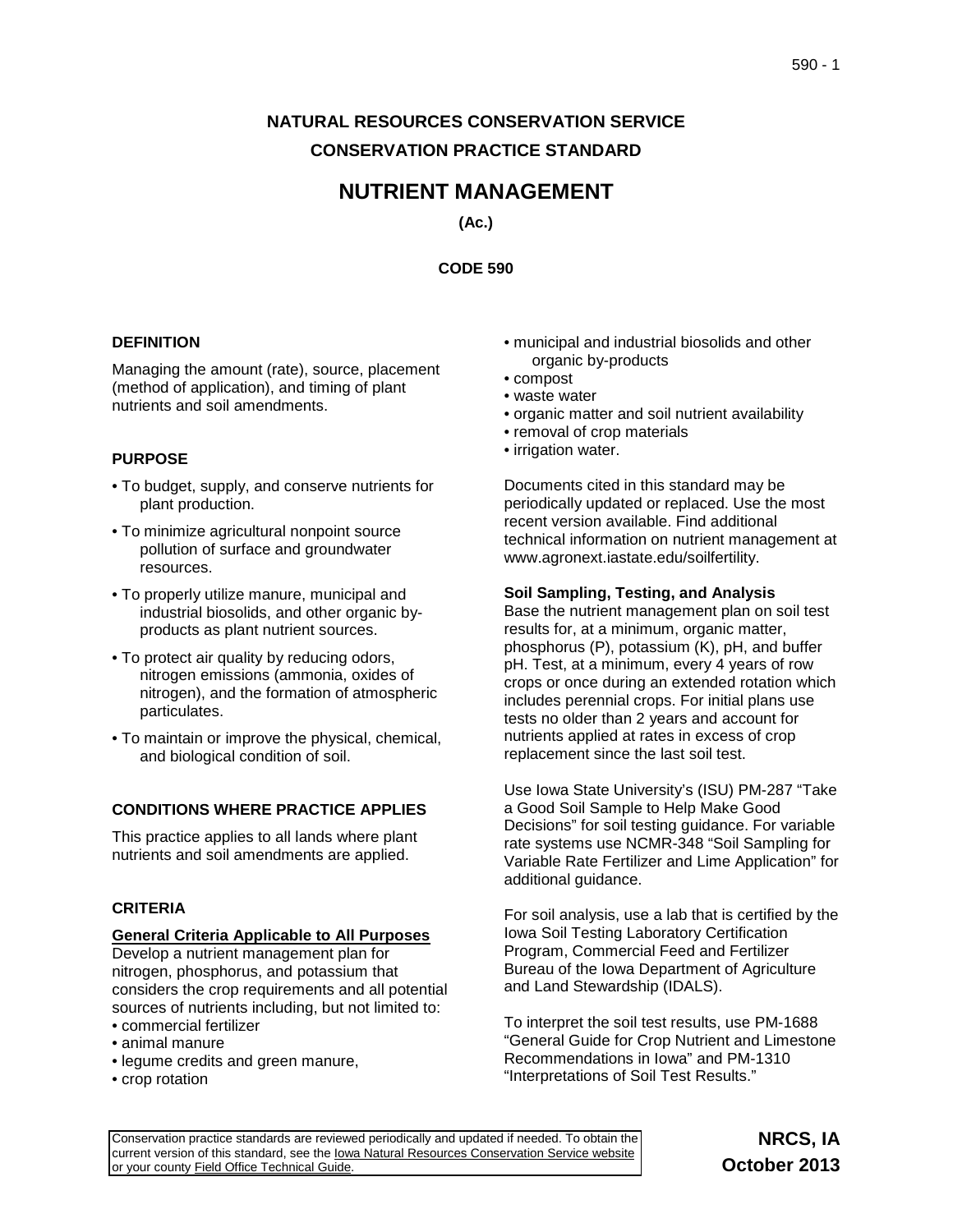# **NATURAL RESOURCES CONSERVATION SERVICE CONSERVATION PRACTICE STANDARD**

# **NUTRIENT MANAGEMENT**

**(Ac.)**

**CODE 590**

## **DEFINITION**

Managing the amount (rate), source, placement (method of application), and timing of plant nutrients and soil amendments.

# **PURPOSE**

- To budget, supply, and conserve nutrients for plant production.
- To minimize agricultural nonpoint source pollution of surface and groundwater resources.
- To properly utilize manure, municipal and industrial biosolids, and other organic byproducts as plant nutrient sources.
- To protect air quality by reducing odors, nitrogen emissions (ammonia, oxides of nitrogen), and the formation of atmospheric particulates.
- To maintain or improve the physical, chemical, and biological condition of soil.

## **CONDITIONS WHERE PRACTICE APPLIES**

This practice applies to all lands where plant nutrients and soil amendments are applied.

## **CRITERIA**

#### **General Criteria Applicable to All Purposes**

Develop a nutrient management plan for nitrogen, phosphorus, and potassium that considers the crop requirements and all potential sources of nutrients including, but not limited to:

- commercial fertilizer
- animal manure
- legume credits and green manure,
- crop rotation
- municipal and industrial biosolids and other organic by-products
- compost
- waste water
- organic matter and soil nutrient availability
- removal of crop materials
- irrigation water.

Documents cited in this standard may be periodically updated or replaced. Use the most recent version available. Find additional technical information on nutrient management at [www.agronext.iastate.edu/soilfertility.](http://www.agronext.iastate.edu/soilfertility)

## **Soil Sampling, Testing, and Analysis**

Base the nutrient management plan on soil test results for, at a minimum, organic matter, phosphorus (P), potassium (K), pH, and buffer pH. Test, at a minimum, every 4 years of row crops or once during an extended rotation which includes perennial crops. For initial plans use tests no older than 2 years and account for nutrients applied at rates in excess of crop replacement since the last soil test.

Use Iowa State University's (ISU) PM-287 "Take a Good Soil Sample to Help Make Good Decisions" for soil testing guidance. For variable rate systems use NCMR-348 "Soil Sampling for Variable Rate Fertilizer and Lime Application" for additional guidance.

For soil analysis, use a lab that is certified by the Iowa Soil Testing Laboratory Certification Program, Commercial Feed and Fertilizer Bureau of the Iowa Department of Agriculture and Land Stewardship (IDALS).

To interpret the soil test results, use PM-1688 "General Guide for Crop Nutrient and Limestone Recommendations in Iowa" and PM-1310 "Interpretations of Soil Test Results."

Conservation practice standards are reviewed periodically and updated if needed. To obtain the current version of this standard, see the lowa Natural Resources Conservation Service website or your county [Field Office Technical Guide.](http://efotg.sc.egov.usda.gov/efotg_locator.aspx?map=IA)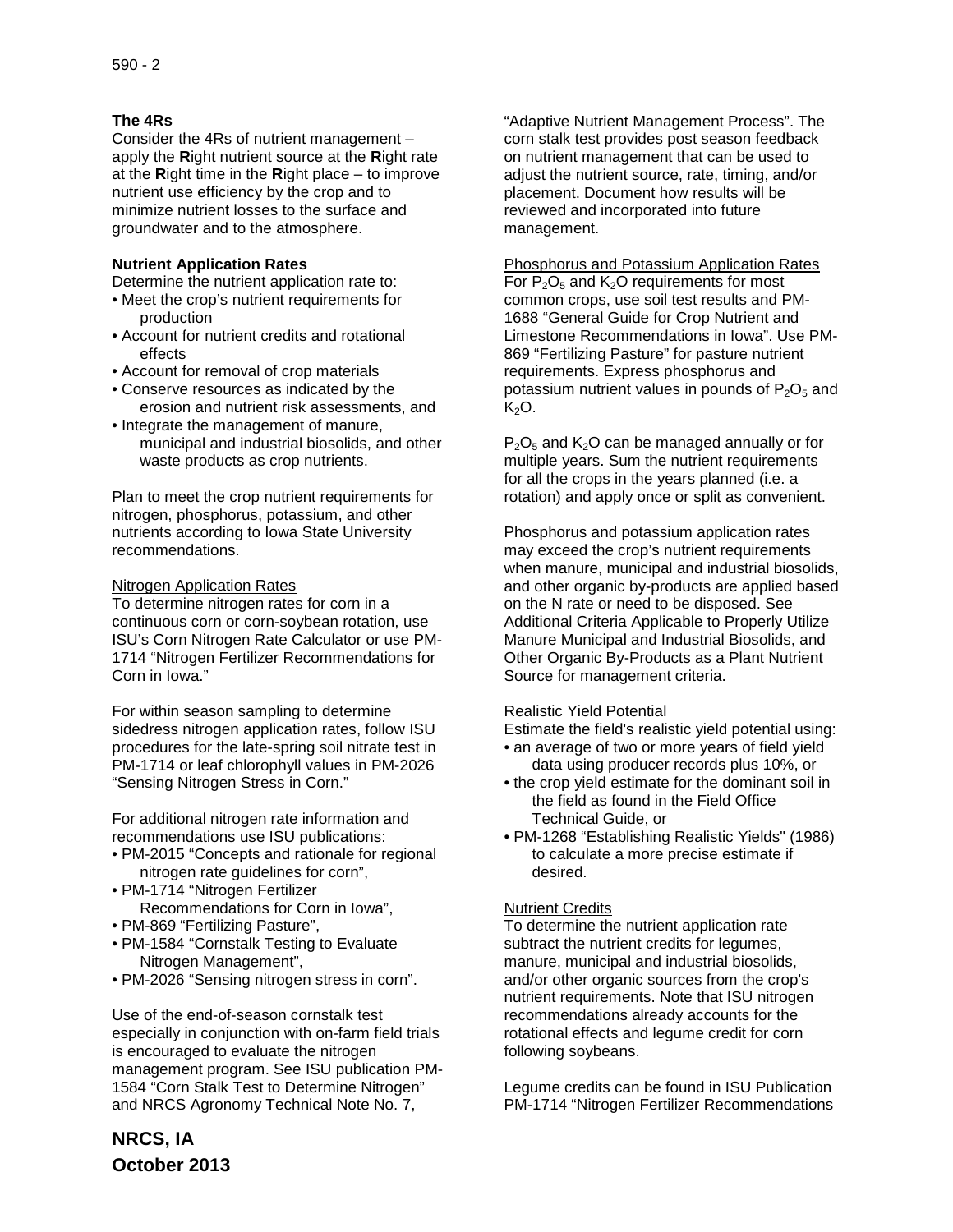# **The 4Rs**

Consider the 4Rs of nutrient management – apply the **R**ight nutrient source at the **R**ight rate at the **R**ight time in the **R**ight place – to improve nutrient use efficiency by the crop and to minimize nutrient losses to the surface and groundwater and to the atmosphere.

## **Nutrient Application Rates**

Determine the nutrient application rate to:

- Meet the crop's nutrient requirements for production
- Account for nutrient credits and rotational effects
- Account for removal of crop materials
- Conserve resources as indicated by the erosion and nutrient risk assessments, and
- Integrate the management of manure, municipal and industrial biosolids, and other waste products as crop nutrients.

Plan to meet the crop nutrient requirements for nitrogen, phosphorus, potassium, and other nutrients according to Iowa State University recommendations.

## Nitrogen Application Rates

To determine nitrogen rates for corn in a continuous corn or corn-soybean rotation, use ISU's Corn Nitrogen Rate Calculator or use PM-1714 "Nitrogen Fertilizer Recommendations for Corn in Iowa."

For within season sampling to determine sidedress nitrogen application rates, follow ISU procedures for the late-spring soil nitrate test in PM-1714 or leaf chlorophyll values in PM-2026 "Sensing Nitrogen Stress in Corn."

For additional nitrogen rate information and recommendations use ISU publications:

- PM-2015 "Concepts and rationale for regional nitrogen rate guidelines for corn",
- PM-1714 "Nitrogen Fertilizer Recommendations for Corn in Iowa",
- PM-869 "Fertilizing Pasture",
- PM-1584 "Cornstalk Testing to Evaluate Nitrogen Management",
- PM-2026 "Sensing nitrogen stress in corn".

Use of the end-of-season cornstalk test especially in conjunction with on-farm field trials is encouraged to evaluate the nitrogen management program. See ISU publication PM-1584 "Corn Stalk Test to Determine Nitrogen" and NRCS Agronomy Technical Note No. 7,

**NRCS, IA October 2013**

"Adaptive Nutrient Management Process". The corn stalk test provides post season feedback on nutrient management that can be used to adjust the nutrient source, rate, timing, and/or placement. Document how results will be reviewed and incorporated into future management.

Phosphorus and Potassium Application Rates For  $P_2O_5$  and  $K_2O$  requirements for most common crops, use soil test results and PM-1688 "General Guide for Crop Nutrient and Limestone Recommendations in Iowa". Use PM-869 "Fertilizing Pasture" for pasture nutrient requirements. Express phosphorus and potassium nutrient values in pounds of  $P_2O_5$  and  $K<sub>2</sub>O$ .

 $P_2O_5$  and  $K_2O$  can be managed annually or for multiple years. Sum the nutrient requirements for all the crops in the years planned (i.e. a rotation) and apply once or split as convenient.

Phosphorus and potassium application rates may exceed the crop's nutrient requirements when manure, municipal and industrial biosolids, and other organic by-products are applied based on the N rate or need to be disposed. See Additional Criteria Applicable to Properly Utilize Manure Municipal and Industrial Biosolids, and Other Organic By-Products as a Plant Nutrient Source for management criteria.

## Realistic Yield Potential

Estimate the field's realistic yield potential using:

- an average of two or more years of field yield data using producer records plus 10%, or
- the crop yield estimate for the dominant soil in the field as found in the Field Office Technical Guide, or
- PM-1268 "Establishing Realistic Yields" (1986) to calculate a more precise estimate if desired.

## Nutrient Credits

To determine the nutrient application rate subtract the nutrient credits for legumes, manure, municipal and industrial biosolids, and/or other organic sources from the crop's nutrient requirements. Note that ISU nitrogen recommendations already accounts for the rotational effects and legume credit for corn following soybeans.

Legume credits can be found in ISU Publication PM-1714 "Nitrogen Fertilizer Recommendations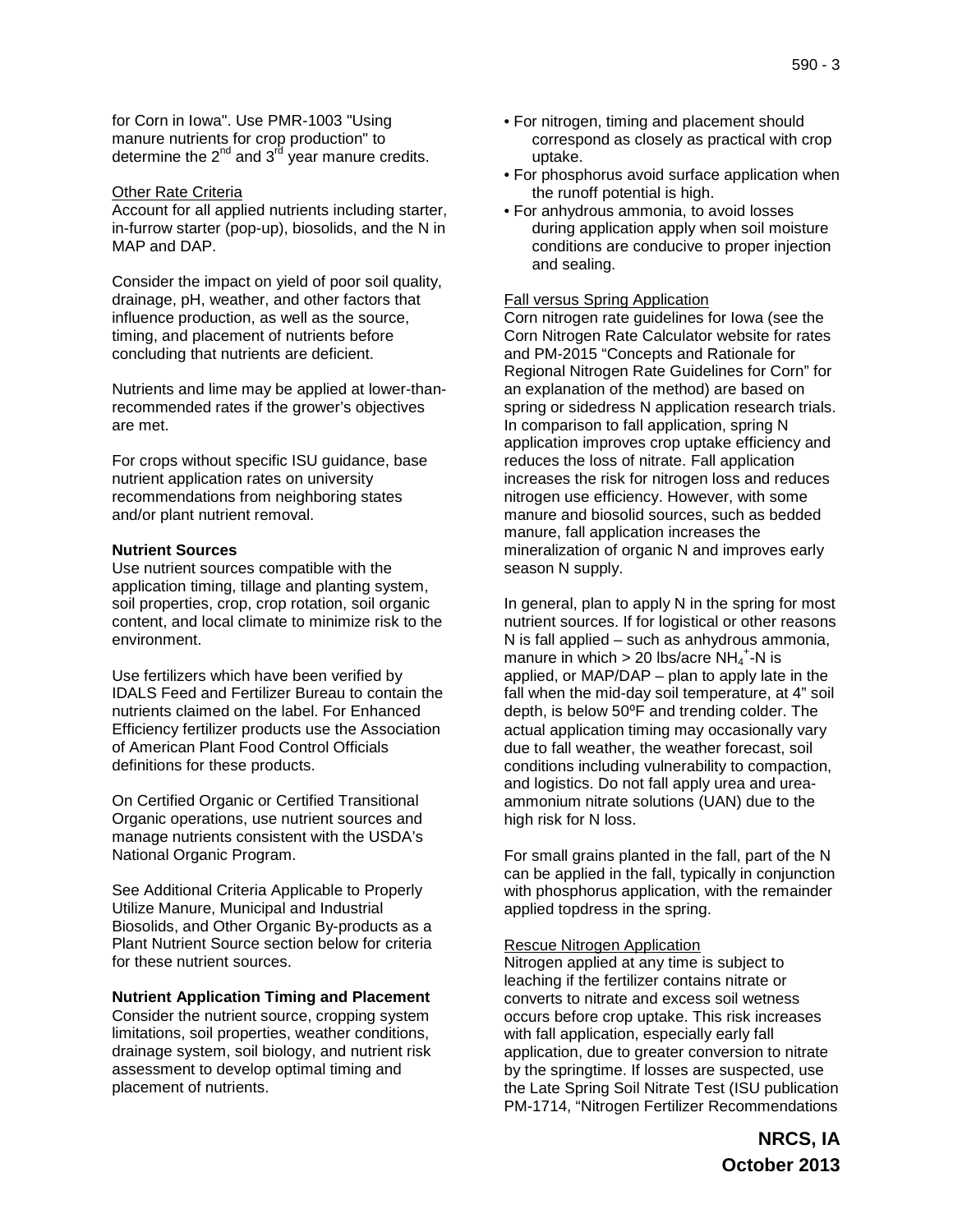for Corn in Iowa". Use PMR-1003 "Using manure nutrients for crop production" to determine the  $2^{nd}$  and  $3^{rd}$  year manure credits.

#### Other Rate Criteria

Account for all applied nutrients including starter, in-furrow starter (pop-up), biosolids, and the N in MAP and DAP.

Consider the impact on yield of poor soil quality, drainage, pH, weather, and other factors that influence production, as well as the source, timing, and placement of nutrients before concluding that nutrients are deficient.

Nutrients and lime may be applied at lower-thanrecommended rates if the grower's objectives are met.

For crops without specific ISU guidance, base nutrient application rates on university recommendations from neighboring states and/or plant nutrient removal.

#### **Nutrient Sources**

Use nutrient sources compatible with the application timing, tillage and planting system, soil properties, crop, crop rotation, soil organic content, and local climate to minimize risk to the environment.

Use fertilizers which have been verified by IDALS Feed and Fertilizer Bureau to contain the nutrients claimed on the label. For Enhanced Efficiency fertilizer products use the Association of American Plant Food Control Officials definitions for these products.

On Certified Organic or Certified Transitional Organic operations, use nutrient sources and manage nutrients consistent with the USDA's National Organic Program.

See Additional Criteria Applicable to Properly Utilize Manure, Municipal and Industrial Biosolids, and Other Organic By-products as a Plant Nutrient Source section below for criteria for these nutrient sources.

**Nutrient Application Timing and Placement** Consider the nutrient source, cropping system limitations, soil properties, weather conditions, drainage system, soil biology, and nutrient risk assessment to develop optimal timing and placement of nutrients.

- For nitrogen, timing and placement should correspond as closely as practical with crop uptake.
- For phosphorus avoid surface application when the runoff potential is high.
- For anhydrous ammonia, to avoid losses during application apply when soil moisture conditions are conducive to proper injection and sealing.

#### Fall versus Spring Application

Corn nitrogen rate guidelines for Iowa (see the Corn Nitrogen Rate Calculator website for rates and PM-2015 "Concepts and Rationale for Regional Nitrogen Rate Guidelines for Corn" for an explanation of the method) are based on spring or sidedress N application research trials. In comparison to fall application, spring N application improves crop uptake efficiency and reduces the loss of nitrate. Fall application increases the risk for nitrogen loss and reduces nitrogen use efficiency. However, with some manure and biosolid sources, such as bedded manure, fall application increases the mineralization of organic N and improves early season N supply.

In general, plan to apply N in the spring for most nutrient sources. If for logistical or other reasons N is fall applied – such as anhydrous ammonia, manure in which  $> 20$  lbs/acre NH<sub>4</sub><sup>+</sup>-N is applied, or MAP/DAP – plan to apply late in the fall when the mid-day soil temperature, at 4" soil depth, is below 50°F and trending colder. The actual application timing may occasionally vary due to fall weather, the weather forecast, soil conditions including vulnerability to compaction, and logistics. Do not fall apply urea and ureaammonium nitrate solutions (UAN) due to the high risk for N loss.

For small grains planted in the fall, part of the N can be applied in the fall, typically in conjunction with phosphorus application, with the remainder applied topdress in the spring.

#### Rescue Nitrogen Application

Nitrogen applied at any time is subject to leaching if the fertilizer contains nitrate or converts to nitrate and excess soil wetness occurs before crop uptake. This risk increases with fall application, especially early fall application, due to greater conversion to nitrate by the springtime. If losses are suspected, use the Late Spring Soil Nitrate Test (ISU publication PM-1714, "Nitrogen Fertilizer Recommendations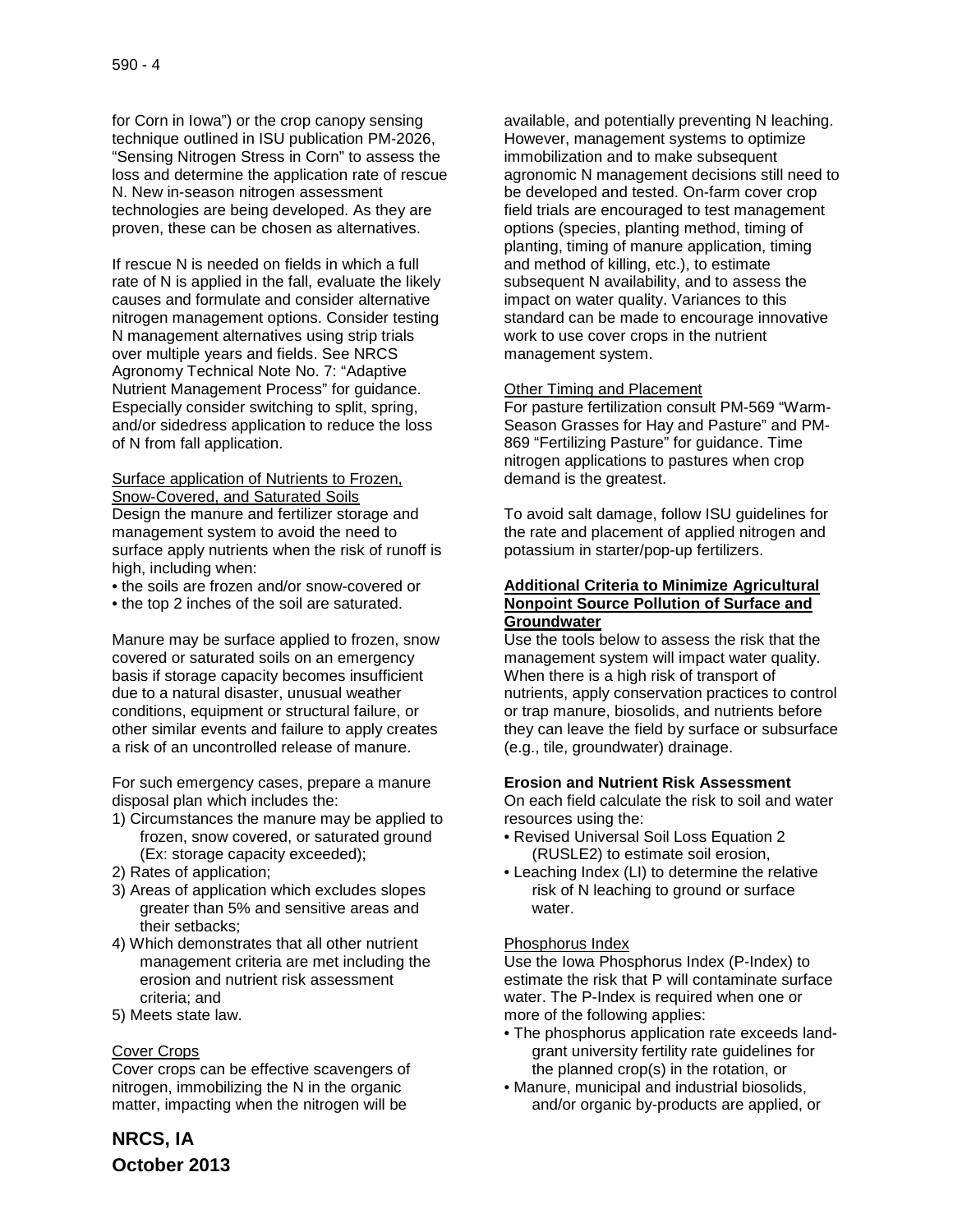for Corn in Iowa") or the crop canopy sensing technique outlined in ISU publication PM-2026, "Sensing Nitrogen Stress in Corn" to assess the loss and determine the application rate of rescue N. New in-season nitrogen assessment technologies are being developed. As they are proven, these can be chosen as alternatives.

If rescue N is needed on fields in which a full rate of N is applied in the fall, evaluate the likely causes and formulate and consider alternative nitrogen management options. Consider testing N management alternatives using strip trials over multiple years and fields. See NRCS Agronomy Technical Note No. 7: "Adaptive Nutrient Management Process" for guidance. Especially consider switching to split, spring, and/or sidedress application to reduce the loss of N from fall application.

Surface application of Nutrients to Frozen, Snow-Covered, and Saturated Soils Design the manure and fertilizer storage and management system to avoid the need to surface apply nutrients when the risk of runoff is high, including when:

- the soils are frozen and/or snow-covered or
- the top 2 inches of the soil are saturated.

Manure may be surface applied to frozen, snow covered or saturated soils on an emergency basis if storage capacity becomes insufficient due to a natural disaster, unusual weather conditions, equipment or structural failure, or other similar events and failure to apply creates a risk of an uncontrolled release of manure.

For such emergency cases, prepare a manure disposal plan which includes the:

- 1) Circumstances the manure may be applied to frozen, snow covered, or saturated ground (Ex: storage capacity exceeded);
- 2) Rates of application;
- 3) Areas of application which excludes slopes greater than 5% and sensitive areas and their setbacks;
- 4) Which demonstrates that all other nutrient management criteria are met including the erosion and nutrient risk assessment criteria; and
- 5) Meets state law.

#### Cover Crops

Cover crops can be effective scavengers of nitrogen, immobilizing the N in the organic matter, impacting when the nitrogen will be

available, and potentially preventing N leaching. However, management systems to optimize immobilization and to make subsequent agronomic N management decisions still need to be developed and tested. On-farm cover crop field trials are encouraged to test management options (species, planting method, timing of planting, timing of manure application, timing and method of killing, etc.), to estimate subsequent N availability, and to assess the impact on water quality. Variances to this standard can be made to encourage innovative work to use cover crops in the nutrient management system.

#### Other Timing and Placement

For pasture fertilization consult PM-569 "Warm-Season Grasses for Hay and Pasture" and PM-869 "Fertilizing Pasture" for guidance. Time nitrogen applications to pastures when crop demand is the greatest.

To avoid salt damage, follow ISU guidelines for the rate and placement of applied nitrogen and potassium in starter/pop-up fertilizers.

#### **Additional Criteria to Minimize Agricultural Nonpoint Source Pollution of Surface and Groundwater**

Use the tools below to assess the risk that the management system will impact water quality. When there is a high risk of transport of nutrients, apply conservation practices to control or trap manure, biosolids, and nutrients before they can leave the field by surface or subsurface (e.g., tile, groundwater) drainage.

#### **Erosion and Nutrient Risk Assessment**

On each field calculate the risk to soil and water resources using the:

- Revised Universal Soil Loss Equation 2 (RUSLE2) to estimate soil erosion,
- Leaching Index (LI) to determine the relative risk of N leaching to ground or surface water.

#### Phosphorus Index

Use the Iowa Phosphorus Index (P-Index) to estimate the risk that P will contaminate surface water. The P-Index is required when one or more of the following applies:

- The phosphorus application rate exceeds landgrant university fertility rate guidelines for the planned crop(s) in the rotation, or
- Manure, municipal and industrial biosolids, and/or organic by-products are applied, or

**NRCS, IA October 2013**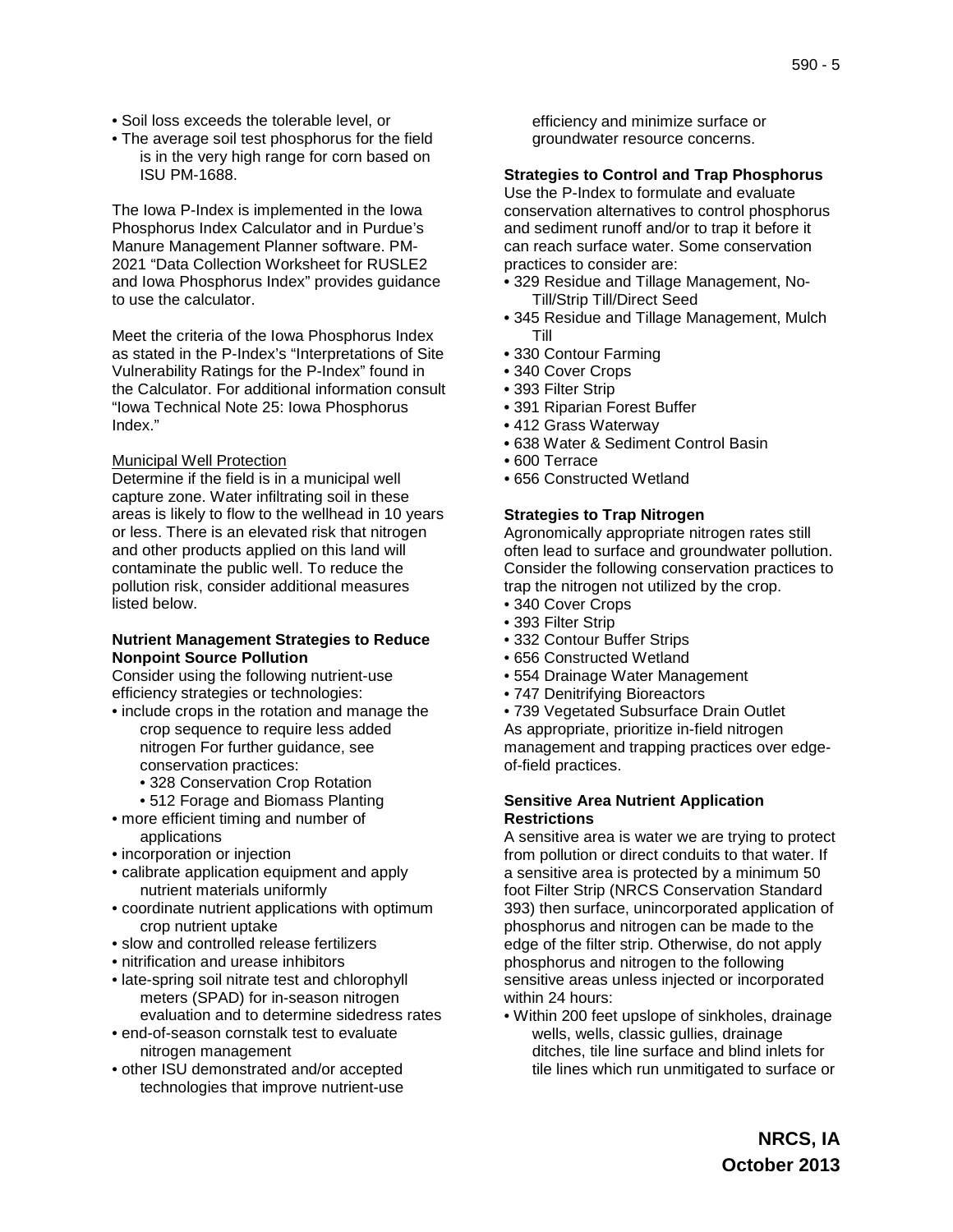- Soil loss exceeds the tolerable level, or
- The average soil test phosphorus for the field is in the very high range for corn based on ISU PM-1688.

The Iowa P-Index is implemented in the Iowa Phosphorus Index Calculator and in Purdue's Manure Management Planner software. PM-2021 "Data Collection Worksheet for RUSLE2 and Iowa Phosphorus Index" provides guidance to use the calculator.

Meet the criteria of the Iowa Phosphorus Index as stated in the P-Index's "Interpretations of Site Vulnerability Ratings for the P-Index" found in the Calculator. For additional information consult "Iowa Technical Note 25: Iowa Phosphorus Index."

#### Municipal Well Protection

Determine if the field is in a municipal well capture zone. Water infiltrating soil in these areas is likely to flow to the wellhead in 10 years or less. There is an elevated risk that nitrogen and other products applied on this land will contaminate the public well. To reduce the pollution risk, consider additional measures listed below.

#### **Nutrient Management Strategies to Reduce Nonpoint Source Pollution**

Consider using the following nutrient-use efficiency strategies or technologies:

• include crops in the rotation and manage the crop sequence to require less added nitrogen For further guidance, see conservation practices:

• 328 Conservation Crop Rotation

- 512 Forage and Biomass Planting • more efficient timing and number of applications
- incorporation or injection
- calibrate application equipment and apply nutrient materials uniformly
- coordinate nutrient applications with optimum crop nutrient uptake
- slow and controlled release fertilizers
- nitrification and urease inhibitors
- late-spring soil nitrate test and chlorophyll meters (SPAD) for in-season nitrogen evaluation and to determine sidedress rates
- end-of-season cornstalk test to evaluate nitrogen management
- other ISU demonstrated and/or accepted technologies that improve nutrient-use

efficiency and minimize surface or groundwater resource concerns.

#### **Strategies to Control and Trap Phosphorus**

Use the P-Index to formulate and evaluate conservation alternatives to control phosphorus and sediment runoff and/or to trap it before it can reach surface water. Some conservation practices to consider are:

- 329 Residue and Tillage Management, No-Till/Strip Till/Direct Seed
- 345 Residue and Tillage Management, Mulch Till
- 330 Contour Farming
- 340 Cover Crops
- 393 Filter Strip
- 391 Riparian Forest Buffer
- 412 Grass Waterway
- 638 Water & Sediment Control Basin
- 600 Terrace
- 656 Constructed Wetland

#### **Strategies to Trap Nitrogen**

Agronomically appropriate nitrogen rates still often lead to surface and groundwater pollution. Consider the following conservation practices to trap the nitrogen not utilized by the crop.

- 340 Cover Crops
- 393 Filter Strip
- 332 Contour Buffer Strips
- 656 Constructed Wetland
- 554 Drainage Water Management
- 747 Denitrifying Bioreactors

• 739 Vegetated Subsurface Drain Outlet As appropriate, prioritize in-field nitrogen management and trapping practices over edgeof-field practices.

#### **Sensitive Area Nutrient Application Restrictions**

A sensitive area is water we are trying to protect from pollution or direct conduits to that water. If a sensitive area is protected by a minimum 50 foot Filter Strip (NRCS Conservation Standard 393) then surface, unincorporated application of phosphorus and nitrogen can be made to the edge of the filter strip. Otherwise, do not apply phosphorus and nitrogen to the following sensitive areas unless injected or incorporated within 24 hours:

• Within 200 feet upslope of sinkholes, drainage wells, wells, classic gullies, drainage ditches, tile line surface and blind inlets for tile lines which run unmitigated to surface or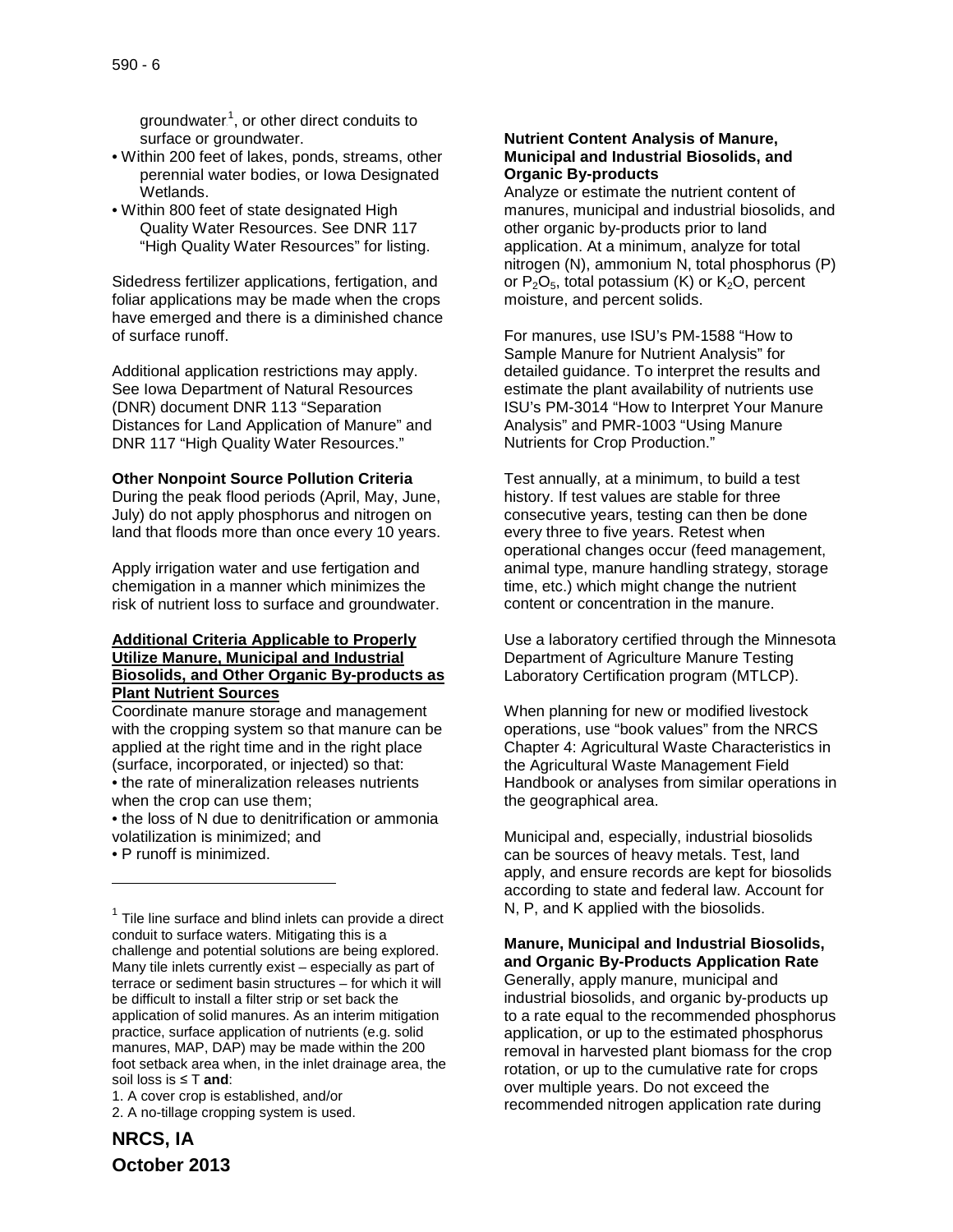groundwater.<sup>1</sup>, or other direct conduits to surface or groundwater.

- Within 200 feet of lakes, ponds, streams, other perennial water bodies, or Iowa Designated Wetlands.
- Within 800 feet of state designated High Quality Water Resources. See DNR 117 "High Quality Water Resources" for listing.

Sidedress fertilizer applications, fertigation, and foliar applications may be made when the crops have emerged and there is a diminished chance of surface runoff.

Additional application restrictions may apply. See Iowa Department of Natural Resources (DNR) document DNR 113 "Separation Distances for Land Application of Manure" and DNR 117 "High Quality Water Resources."

#### **Other Nonpoint Source Pollution Criteria**

During the peak flood periods (April, May, June, July) do not apply phosphorus and nitrogen on land that floods more than once every 10 years.

Apply irrigation water and use fertigation and chemigation in a manner which minimizes the risk of nutrient loss to surface and groundwater.

## **Additional Criteria Applicable to Properly Utilize Manure, Municipal and Industrial Biosolids, and Other Organic By-products as Plant Nutrient Sources**

Coordinate manure storage and management with the cropping system so that manure can be applied at the right time and in the right place (surface, incorporated, or injected) so that: • the rate of mineralization releases nutrients when the crop can use them;

• the loss of N due to denitrification or ammonia volatilization is minimized; and

• P runoff is minimized.

j

1. A cover crop is established, and/or 2. A no-tillage cropping system is used.

# **NRCS, IA October 2013**

#### **Nutrient Content Analysis of Manure, Municipal and Industrial Biosolids, and Organic By-products**

Analyze or estimate the nutrient content of manures, municipal and industrial biosolids, and other organic by-products prior to land application. At a minimum, analyze for total nitrogen (N), ammonium N, total phosphorus (P) or  $P_2O_5$ , total potassium (K) or  $K_2O$ , percent moisture, and percent solids.

For manures, use ISU's PM-1588 "How to Sample Manure for Nutrient Analysis" for detailed guidance. To interpret the results and estimate the plant availability of nutrients use ISU's PM-3014 "How to Interpret Your Manure Analysis" and PMR-1003 "Using Manure Nutrients for Crop Production."

Test annually, at a minimum, to build a test history. If test values are stable for three consecutive years, testing can then be done every three to five years. Retest when operational changes occur (feed management, animal type, manure handling strategy, storage time, etc.) which might change the nutrient content or concentration in the manure.

Use a laboratory certified through the Minnesota Department of Agriculture Manure Testing Laboratory Certification program (MTLCP).

When planning for new or modified livestock operations, use "book values" from the NRCS Chapter 4: Agricultural Waste Characteristics in the Agricultural Waste Management Field Handbook or analyses from similar operations in the geographical area.

Municipal and, especially, industrial biosolids can be sources of heavy metals. Test, land apply, and ensure records are kept for biosolids according to state and federal law. Account for N, P, and K applied with the biosolids.

# **Manure, Municipal and Industrial Biosolids, and Organic By-Products Application Rate** Generally, apply manure, municipal and industrial biosolids, and organic by-products up to a rate equal to the recommended phosphorus application, or up to the estimated phosphorus removal in harvested plant biomass for the crop

rotation, or up to the cumulative rate for crops over multiple years. Do not exceed the recommended nitrogen application rate during

 $1$  Tile line surface and blind inlets can provide a direct conduit to surface waters. Mitigating this is a challenge and potential solutions are being explored. Many tile inlets currently exist – especially as part of terrace or sediment basin structures – for which it will be difficult to install a filter strip or set back the application of solid manures. As an interim mitigation practice, surface application of nutrients (e.g. solid manures, MAP, DAP) may be made within the 200 foot setback area when, in the inlet drainage area, the soil loss is ≤ T **and**: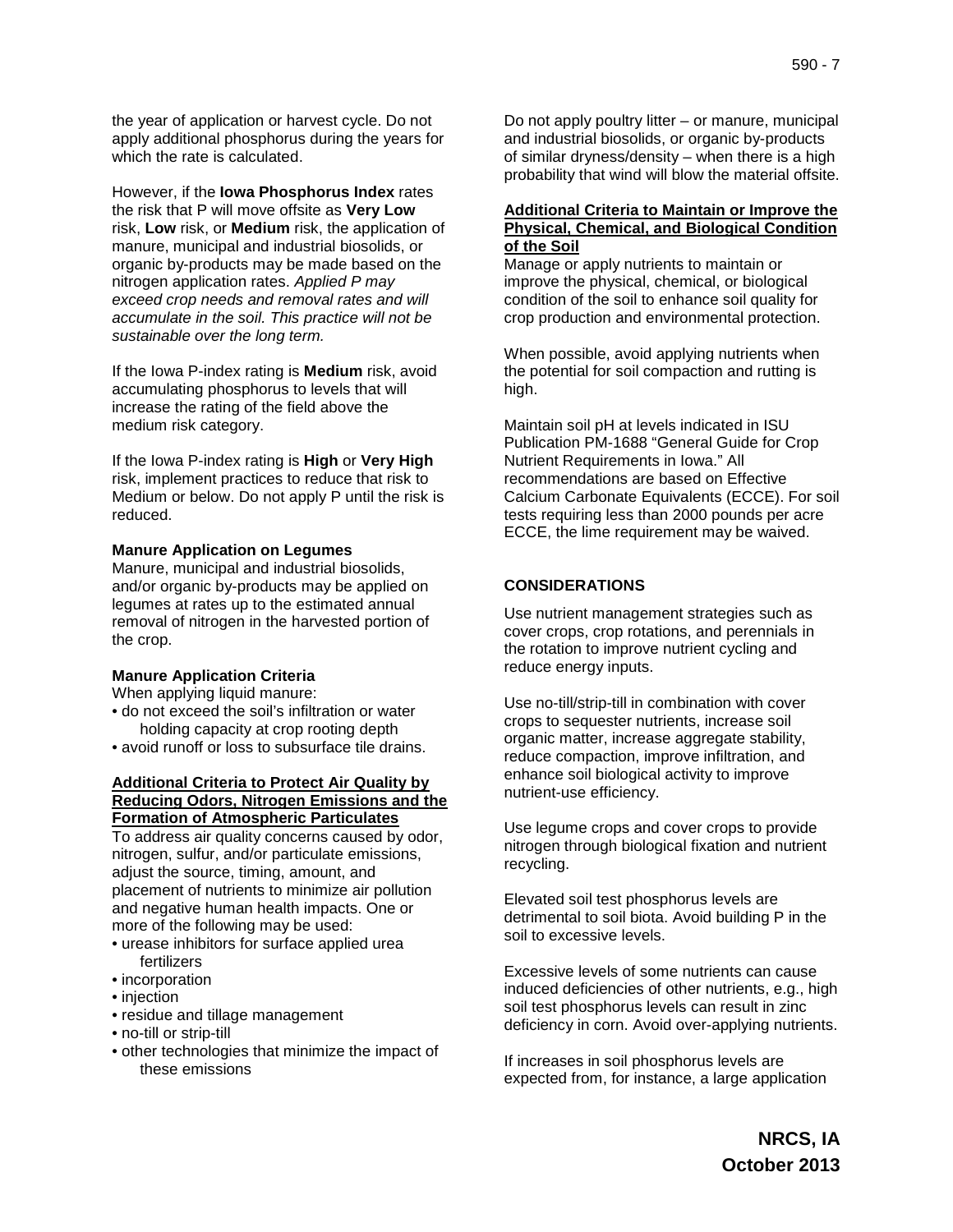the year of application or harvest cycle. Do not apply additional phosphorus during the years for which the rate is calculated.

However, if the **Iowa Phosphorus Index** rates the risk that P will move offsite as **Very Low** risk, **Low** risk, or **Medium** risk, the application of manure, municipal and industrial biosolids, or organic by-products may be made based on the nitrogen application rates. *Applied P may exceed crop needs and removal rates and will accumulate in the soil. This practice will not be sustainable over the long term.*

If the Iowa P-index rating is **Medium** risk, avoid accumulating phosphorus to levels that will increase the rating of the field above the medium risk category.

If the Iowa P-index rating is **High** or **Very High** risk, implement practices to reduce that risk to Medium or below. Do not apply P until the risk is reduced.

#### **Manure Application on Legumes**

Manure, municipal and industrial biosolids, and/or organic by-products may be applied on legumes at rates up to the estimated annual removal of nitrogen in the harvested portion of the crop.

## **Manure Application Criteria**

When applying liquid manure:

- do not exceed the soil's infiltration or water holding capacity at crop rooting depth
- avoid runoff or loss to subsurface tile drains.

#### **Additional Criteria to Protect Air Quality by Reducing Odors, Nitrogen Emissions and the Formation of Atmospheric Particulates**

To address air quality concerns caused by odor, nitrogen, sulfur, and/or particulate emissions, adjust the source, timing, amount, and placement of nutrients to minimize air pollution and negative human health impacts. One or more of the following may be used:

- urease inhibitors for surface applied urea fertilizers
- incorporation
- injection
- residue and tillage management
- no-till or strip-till
- other technologies that minimize the impact of these emissions

Do not apply poultry litter – or manure, municipal and industrial biosolids, or organic by-products of similar dryness/density – when there is a high probability that wind will blow the material offsite.

## **Additional Criteria to Maintain or Improve the Physical, Chemical, and Biological Condition of the Soil**

Manage or apply nutrients to maintain or improve the physical, chemical, or biological condition of the soil to enhance soil quality for crop production and environmental protection.

When possible, avoid applying nutrients when the potential for soil compaction and rutting is high.

Maintain soil pH at levels indicated in ISU Publication PM-1688 "General Guide for Crop Nutrient Requirements in Iowa." All recommendations are based on Effective Calcium Carbonate Equivalents (ECCE). For soil tests requiring less than 2000 pounds per acre ECCE, the lime requirement may be waived.

# **CONSIDERATIONS**

Use nutrient management strategies such as cover crops, crop rotations, and perennials in the rotation to improve nutrient cycling and reduce energy inputs.

Use no-till/strip-till in combination with cover crops to sequester nutrients, increase soil organic matter, increase aggregate stability, reduce compaction, improve infiltration, and enhance soil biological activity to improve nutrient-use efficiency.

Use legume crops and cover crops to provide nitrogen through biological fixation and nutrient recycling.

Elevated soil test phosphorus levels are detrimental to soil biota. Avoid building P in the soil to excessive levels.

Excessive levels of some nutrients can cause induced deficiencies of other nutrients, e.g., high soil test phosphorus levels can result in zinc deficiency in corn. Avoid over-applying nutrients.

If increases in soil phosphorus levels are expected from, for instance, a large application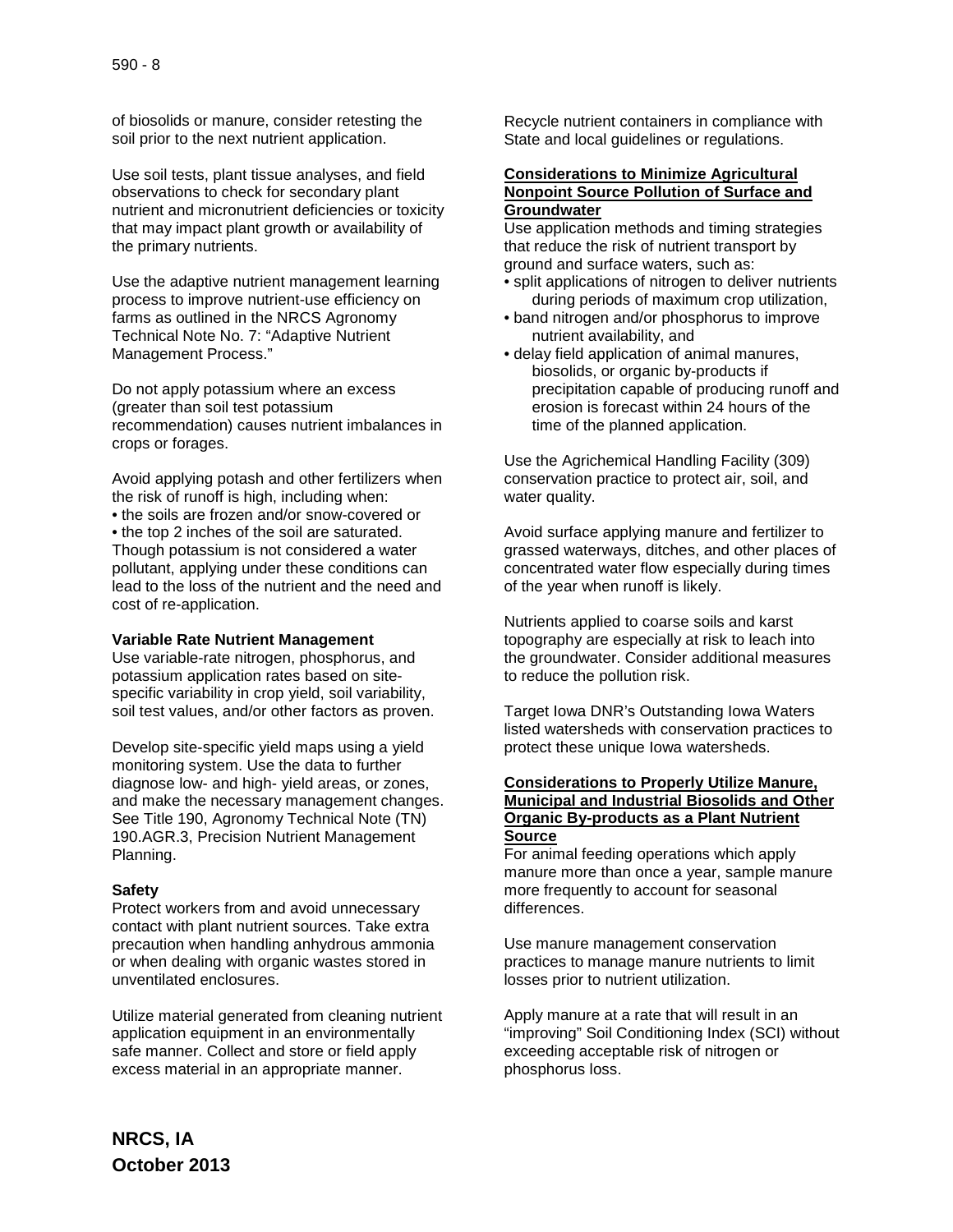of biosolids or manure, consider retesting the soil prior to the next nutrient application.

Use soil tests, plant tissue analyses, and field observations to check for secondary plant nutrient and micronutrient deficiencies or toxicity that may impact plant growth or availability of the primary nutrients.

Use the adaptive nutrient management learning process to improve nutrient-use efficiency on farms as outlined in the NRCS Agronomy Technical Note No. 7: "Adaptive Nutrient Management Process."

Do not apply potassium where an excess (greater than soil test potassium recommendation) causes nutrient imbalances in crops or forages.

Avoid applying potash and other fertilizers when the risk of runoff is high, including when:

• the soils are frozen and/or snow-covered or

• the top 2 inches of the soil are saturated. Though potassium is not considered a water pollutant, applying under these conditions can lead to the loss of the nutrient and the need and cost of re-application.

#### **Variable Rate Nutrient Management**

Use variable-rate nitrogen, phosphorus, and potassium application rates based on sitespecific variability in crop yield, soil variability, soil test values, and/or other factors as proven.

Develop site-specific yield maps using a yield monitoring system. Use the data to further diagnose low- and high- yield areas, or zones, and make the necessary management changes. See Title 190, Agronomy Technical Note (TN) 190.AGR.3, Precision Nutrient Management Planning.

#### **Safety**

Protect workers from and avoid unnecessary contact with plant nutrient sources. Take extra precaution when handling anhydrous ammonia or when dealing with organic wastes stored in unventilated enclosures.

Utilize material generated from cleaning nutrient application equipment in an environmentally safe manner. Collect and store or field apply excess material in an appropriate manner.

Recycle nutrient containers in compliance with State and local guidelines or regulations.

#### **Considerations to Minimize Agricultural Nonpoint Source Pollution of Surface and Groundwater**

Use application methods and timing strategies that reduce the risk of nutrient transport by ground and surface waters, such as:

- split applications of nitrogen to deliver nutrients during periods of maximum crop utilization,
- band nitrogen and/or phosphorus to improve nutrient availability, and
- delay field application of animal manures, biosolids, or organic by-products if precipitation capable of producing runoff and erosion is forecast within 24 hours of the time of the planned application.

Use the Agrichemical Handling Facility (309) conservation practice to protect air, soil, and water quality.

Avoid surface applying manure and fertilizer to grassed waterways, ditches, and other places of concentrated water flow especially during times of the year when runoff is likely.

Nutrients applied to coarse soils and karst topography are especially at risk to leach into the groundwater. Consider additional measures to reduce the pollution risk.

Target Iowa DNR's Outstanding Iowa Waters listed watersheds with conservation practices to protect these unique Iowa watersheds.

## **Considerations to Properly Utilize Manure, Municipal and Industrial Biosolids and Other Organic By-products as a Plant Nutrient Source**

For animal feeding operations which apply manure more than once a year, sample manure more frequently to account for seasonal differences.

Use manure management conservation practices to manage manure nutrients to limit losses prior to nutrient utilization.

Apply manure at a rate that will result in an "improving" Soil Conditioning Index (SCI) without exceeding acceptable risk of nitrogen or phosphorus loss.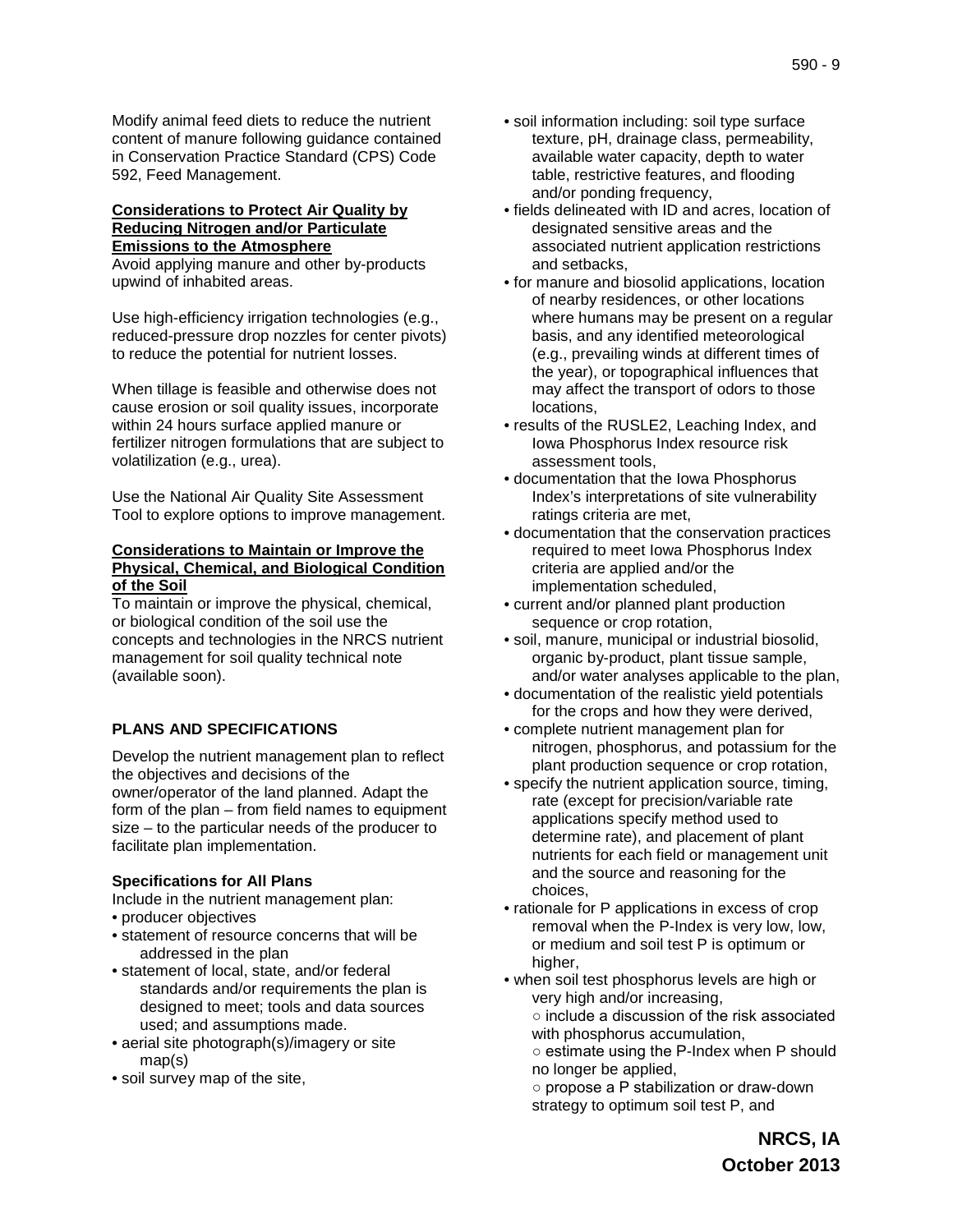Modify animal feed diets to reduce the nutrient content of manure following guidance contained in Conservation Practice Standard (CPS) Code 592, Feed Management.

## **Considerations to Protect Air Quality by Reducing Nitrogen and/or Particulate Emissions to the Atmosphere**

Avoid applying manure and other by-products upwind of inhabited areas.

Use high-efficiency irrigation technologies (e.g., reduced-pressure drop nozzles for center pivots) to reduce the potential for nutrient losses.

When tillage is feasible and otherwise does not cause erosion or soil quality issues, incorporate within 24 hours surface applied manure or fertilizer nitrogen formulations that are subject to volatilization (e.g., urea).

Use the National Air Quality Site Assessment Tool to explore options to improve management.

## **Considerations to Maintain or Improve the Physical, Chemical, and Biological Condition of the Soil**

To maintain or improve the physical, chemical, or biological condition of the soil use the concepts and technologies in the NRCS nutrient management for soil quality technical note (available soon).

# **PLANS AND SPECIFICATIONS**

Develop the nutrient management plan to reflect the objectives and decisions of the owner/operator of the land planned. Adapt the form of the plan – from field names to equipment size – to the particular needs of the producer to facilitate plan implementation.

## **Specifications for All Plans**

Include in the nutrient management plan:

- producer objectives
- statement of resource concerns that will be addressed in the plan
- statement of local, state, and/or federal standards and/or requirements the plan is designed to meet; tools and data sources used; and assumptions made.
- aerial site photograph(s)/imagery or site map(s)
- soil survey map of the site,
- soil information including: soil type surface texture, pH, drainage class, permeability, available water capacity, depth to water table, restrictive features, and flooding and/or ponding frequency,
- fields delineated with ID and acres, location of designated sensitive areas and the associated nutrient application restrictions and setbacks,
- for manure and biosolid applications, location of nearby residences, or other locations where humans may be present on a regular basis, and any identified meteorological (e.g., prevailing winds at different times of the year), or topographical influences that may affect the transport of odors to those locations,
- results of the RUSLE2, Leaching Index, and Iowa Phosphorus Index resource risk assessment tools,
- documentation that the Iowa Phosphorus Index's interpretations of site vulnerability ratings criteria are met,
- documentation that the conservation practices required to meet Iowa Phosphorus Index criteria are applied and/or the implementation scheduled,
- current and/or planned plant production sequence or crop rotation,
- soil, manure, municipal or industrial biosolid, organic by-product, plant tissue sample, and/or water analyses applicable to the plan,
- documentation of the realistic yield potentials for the crops and how they were derived,
- complete nutrient management plan for nitrogen, phosphorus, and potassium for the plant production sequence or crop rotation,
- specify the nutrient application source, timing, rate (except for precision/variable rate applications specify method used to determine rate), and placement of plant nutrients for each field or management unit and the source and reasoning for the choices,
- rationale for P applications in excess of crop removal when the P-Index is very low, low, or medium and soil test P is optimum or higher.
- when soil test phosphorus levels are high or very high and/or increasing, ○ include a discussion of the risk associated with phosphorus accumulation,
	- estimate using the P-Index when P should no longer be applied,

○ propose a P stabilization or draw-down strategy to optimum soil test P, and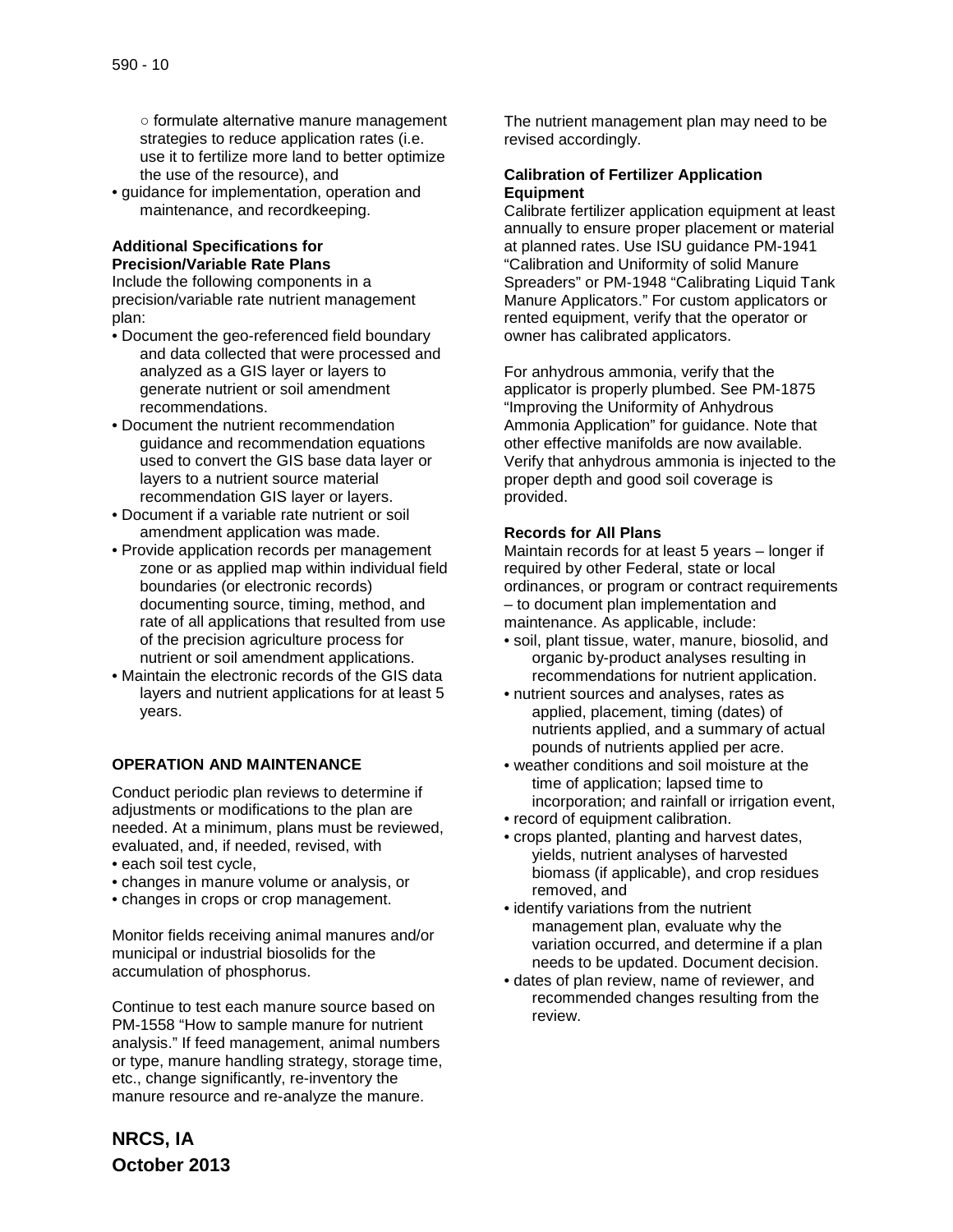○ formulate alternative manure management strategies to reduce application rates (i.e. use it to fertilize more land to better optimize the use of the resource), and

• guidance for implementation, operation and maintenance, and recordkeeping.

## **Additional Specifications for Precision/Variable Rate Plans**

Include the following components in a precision/variable rate nutrient management plan:

- Document the geo-referenced field boundary and data collected that were processed and analyzed as a GIS layer or layers to generate nutrient or soil amendment recommendations.
- Document the nutrient recommendation guidance and recommendation equations used to convert the GIS base data layer or layers to a nutrient source material recommendation GIS layer or layers.
- Document if a variable rate nutrient or soil amendment application was made.
- Provide application records per management zone or as applied map within individual field boundaries (or electronic records) documenting source, timing, method, and rate of all applications that resulted from use of the precision agriculture process for nutrient or soil amendment applications.
- Maintain the electronic records of the GIS data layers and nutrient applications for at least 5 years.

# **OPERATION AND MAINTENANCE**

Conduct periodic plan reviews to determine if adjustments or modifications to the plan are needed. At a minimum, plans must be reviewed, evaluated, and, if needed, revised, with • each soil test cycle,

- changes in manure volume or analysis, or
- changes in crops or crop management.

Monitor fields receiving animal manures and/or municipal or industrial biosolids for the accumulation of phosphorus.

Continue to test each manure source based on PM-1558 "How to sample manure for nutrient analysis." If feed management, animal numbers or type, manure handling strategy, storage time, etc., change significantly, re-inventory the manure resource and re-analyze the manure.

The nutrient management plan may need to be revised accordingly.

## **Calibration of Fertilizer Application Equipment**

Calibrate fertilizer application equipment at least annually to ensure proper placement or material at planned rates. Use ISU guidance PM-1941 "Calibration and Uniformity of solid Manure Spreaders" or PM-1948 "Calibrating Liquid Tank Manure Applicators." For custom applicators or rented equipment, verify that the operator or owner has calibrated applicators.

For anhydrous ammonia, verify that the applicator is properly plumbed. See PM-1875 "Improving the Uniformity of Anhydrous Ammonia Application" for guidance. Note that other effective manifolds are now available. Verify that anhydrous ammonia is injected to the proper depth and good soil coverage is provided.

## **Records for All Plans**

Maintain records for at least 5 years – longer if required by other Federal, state or local ordinances, or program or contract requirements – to document plan implementation and maintenance. As applicable, include:

- soil, plant tissue, water, manure, biosolid, and organic by-product analyses resulting in recommendations for nutrient application.
- nutrient sources and analyses, rates as applied, placement, timing (dates) of nutrients applied, and a summary of actual pounds of nutrients applied per acre.
- weather conditions and soil moisture at the time of application; lapsed time to incorporation; and rainfall or irrigation event,
- record of equipment calibration.
- crops planted, planting and harvest dates, yields, nutrient analyses of harvested biomass (if applicable), and crop residues removed, and
- identify variations from the nutrient management plan, evaluate why the variation occurred, and determine if a plan needs to be updated. Document decision.
- dates of plan review, name of reviewer, and recommended changes resulting from the review.

**NRCS, IA October 2013**